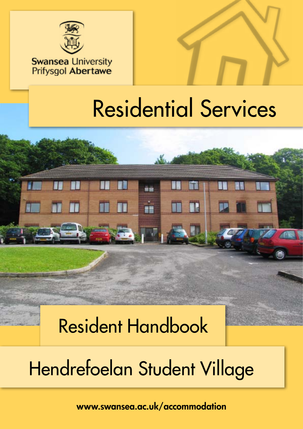

### **Swansea University Prifysgol Abertawe**



# Residential Services

# Resident Handbook

# Hendrefoelan Student Village

a m

[www.swansea.ac.uk/accommodation](http://www.swansea.ac.uk/accommodation/)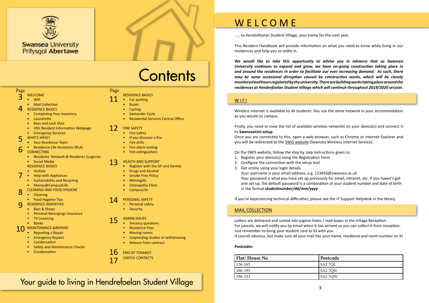### Page Page



..... to Hendrefoelan Student Village, your home for the next year.

This Resident Handbook will provide information on what you need to know while living in our residences and help you to settle in.

*We would like to take this opportunity to advise you in advance that as Swansea University continues to expand and grow, we have on-going construction taking place in and around the residences in order to facilitate our ever increasing demand. As such, there may be some occasional disruption caused by construction works, which will be closely monitored and hours regulated by the university. There are building works taking place around the residences at Hendrefoelan Student Village which will continue throughout 2019/2020 session.*

#### WIFI

Wireless internet is available to all students. You use the same network in your accommodation as you would on campus.

Firstly, you need to view the list of available wireless networks on your device(s) and connect it to **SwanseaUni-setup**.

Once you are connected to this, open a web browser, such as Chrome or Internet Explorer and you will be redirected to the [SWIS website](http://swis.swan.ac.uk/) (Swansea Wireless Internet Service).

On the SWIS website, follow the step by step instructions given to:

- 1. Register your device(s) using the Registration Form
- 2. Configure the connection with the setup tool
- 3. Get online using your login details. Your username is your email address, e.g. 123456@swansea.ac.uk Your password is what you have set up previously for email, intranet, etc. If you haven't got one set up, the default password is a combination of your student number and date of birth in the format *studentnumber/dd/mm/yyyy*
- **[Fire Safety](#page-6-0)**
- [If you discover a fire](#page-6-0)
- [Fire drills](#page-6-0)
- [Fire alarm testing](#page-6-0) • [Fire extinguishers](#page-6-0)

If you're experiencing technical difficulties, please see the IT Support Helpdesk in the library.

### MAIL COLLECTION

Letters are delivered and sorted into pigeon holes / mail boxes in the Village Reception. For parcels, we will notify you by email when it has arrived so you can collect it from reception. Just remember to bring your student card as ID with you. It sounds obvious, but make sure all your mail has your name, residence and room number on it!

#### **Postcodes**

| <b>Flat/House No</b> | <b>Postcode</b> |
|----------------------|-----------------|
| 136-165              | I SA2 7QL       |
| 166-195              | $S_A27QN$       |
| 196-233              | $S_A27QW$       |

- Wifi
- Mail Collection
- RESIDENCE BASICS 4
	- [Completing Your Inventory](#page-2-0)
	- Laundrette
	- Keys and Lock Out[s](#page-2-0)
	- HSV Resident Information Webpage
	- Emergency Services
- WHO'S WHO? 5
- [Your Residence Team](#page-3-0)
- [Residence Life Assistants \(RLA](#page-3-0))  $\mathbf b$
- **CONNECTIN[G](#page-3-0)** 
	- [Residents' Network & Residents Surgeries](#page-3-0)

#### • [Social Media](#page-3-0) [RESIDENCE BASICS](#page-3-0)

### • [Visitors](#page-3-0)

- Help with Appliances
- Sustainability and Recycling
- Money@CampuslLife
- CLEANING A[N](#page-4-0)D FOOD HYGIENE
- Cleaning
- [Food Hygiene Tips](#page-4-0)
- RESIDENCE AMENITIES  $\mathbf Q$ 
	- Bars & Shops
	- Personal Belongings Insurance
	- TV Licensing
	- Banks
- MAINTENANCE &REPAIRS 10
	- [Reporting a Repair](#page-5-0)
	- [Emergency Repairs](#page-5-0)
	- **[Condensation](#page-5-0)**
	- **Safety and Maintenance Checks**
	- Condensation

#### WELCOME 3

#### RESIDENCE BASICS

- [Car parking](#page-5-0)
- **[Buses](#page-5-0)**
- [Cycling](#page-5-0)
- **[Santander Cycle](#page-5-0)**
- Residential Services Central Office

- [Register with the GP and Dentist](#page-6-0)
- [Drugs and Alcohol](#page-6-0)
- [Smoke Free Policy](#page-6-0)
- **[Meningitis](#page-6-0)**
- **[Osteopathy Clinic](#page-6-0)**
- [CampusLife](#page-6-0)

#### [FIRE SAFETY](#page-6-0) 12

- [Personal safety](#page-7-0)
- [Security](#page-7-0)

#### [HEALTH AND SUPPORT](#page-6-0) 13

- [Tenancy questions](#page-7-0)
- [Residence Fees](#page-7-0)
- [Moving rooms](#page-7-0)
- [Suspending studies or withdrawing](#page-7-0)
- [Release from contract](#page-7-0)

#### [PERSONAL SAFETY](#page-7-0) 14

#### [ADMIN ISSUES](#page-7-0) 15

USEFUL CONTACTS

#### [END OF TENANCY](#page-8-0) 16

7

8

11



### Your guide to living in Hendrefoelan Student Village

### W E L C O M E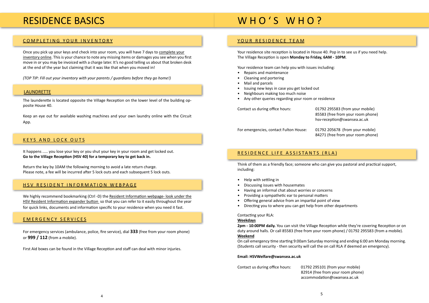### <span id="page-2-0"></span>RESIDENCE BASICS

#### [COMPLETING YOUR INVENTORY](http://onlineinventory.swansea.induction.org.uk/student/StudentRegistration.aspx)

Once you pick up your keys and check into your room, you will have 7 days to [complete your](http://onlineinventory.swansea.induction.org.uk/student/StudentRegistration.aspx) [inventory online](http://onlineinventory.swansea.induction.org.uk/student/StudentRegistration.aspx). This is your chance to note any missing items or damages you see when you first move in or you may be invoiced with a charge later. It's no good telling us about that broken desk at the end of the year but claiming that it was like that when you moved in!

*(TOP TIP: Fill out your inventory with your parents / guardians before they go home!)*

The launderette is located opposite the Village Reception on the lower level of the building opposite House 40.

Keep an eye out for available washing machines and your own laundry online with the [Circuit](http://www.circuit.co.uk/mobile-app/) [App.](http://www.circuit.co.uk/mobile-app/)

We highly recommend bookmarking (Ctrl -D) the [Resident Information webpage- look under the](http://www.swansea.ac.uk/accommodation/residences/hendrefoelanstudentvillage/hsvresidentinformation) [HSV Resident Information](http://www.swansea.ac.uk/accommodation/residences/hendrefoelanstudentvillage/hsvresidentinformation) expander button so that you can refer to it easily throughout the year for quick links, documents and information specific to your residence when you need it fast.

#### KEYS AND LOCK OUTS

It happens ..... you lose your key or you shut your key in your room and get locked out. **Go to the Village Reception (HSV 40) for a temporary key to get back in.**

Return the key by 10AM the following morning to avoid a late return charge. Please note, a fee will be incurred after 5 lock outs and each subsequent 5 lock outs.

#### HSV RESIDENT INFORMATION WEBPAGE

#### EMERGENCY SERVICES

For emergency services (ambulance, police, fire service), dial **333** (free from your room phone) or **999 / 112** (from a mobile).

First Aid boxes can be found in the Village Reception and staff can deal with minor injuries.

### WHO'S WHO?

Ifree from your room phone) ception@swansea.ac.uk

#### YOUR RESIDENCE TEAM

Your residence site reception is located in House 40. Pop in to see us if you need help. The Village Reception is open **Monday to Friday, 6AM - 10PM**.

Your residence team can help you with issues including:

- Repairs and maintenance
- Cleaning and portering
- Mail and parcels
- Issuing new keys in case you get locked out
- Neighbours making too much noise
- Any other queries regarding your room or residence

| Contact us during office hours: | 01792 295583 (from your mobile)  |
|---------------------------------|----------------------------------|
|                                 | 85583 (free from your room phone |
|                                 | hsv-reception@swansea.ac.uk      |
|                                 |                                  |

For emergencies, contact Fulton House: 01792 205678 (from your mobile) 84271 (free from your room phone)

#### RESIDENCE LIFE ASSISTANTS (RLA)

Think of them as a friendly face; someone who can give you pastoral and practical support, including:

- Help with settling in
- Discussing issues with housemates
- Having an informal chat about worries or concerns
- Providing a sympathetic ear to personal matters
- Offering general advice from an impartial point of view
- Directing you to where you can get help from other departments

Contacting your RLA:

#### **Weekdays**

**2pm - 10:00PM daily.** You can visit the Village Reception while they're covering Reception or on duty around halls. Or call 85583 (free from your room phone) / 01792 295583 (from a mobile). **Weekend**

On call emergency time starting 9:00am Saturday morning and ending 6:00 am Monday morning. (Students call security - then security will call the on call RLA if deemed an emergency).

#### **Email: HSVWelfare@swansea.ac.uk**

Contact us during office hours: 01792 295101 (from your mobile)

 82914 (free from your room phone) accommodation@swansea.ac.uk

#### LAUNDRETTE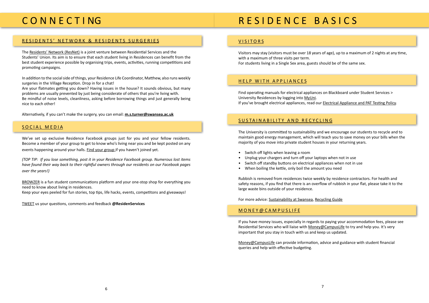## <span id="page-3-0"></span>C O N N E C T I NG

#### [RESIDENTS' NETWORK & RESIDENTS SURGERIES](http://www.swansea.ac.uk/accommodation/preparingforarrival/residentsnetwork/)

The [Residents' Network \(ResNet\)](http://www.swansea.ac.uk/accommodation/preparingforarrival/residentsnetwork/) is a joint venture between Residential Services and the Students' Union. Its aim is to ensure that each student living in Residences can benefit from the best student experience possible by organising trips, events, activities, running competitions and promoting campaigns.

In addition to the social side of things, your Residence Life Coordinator, Matthew, also runs weekly surgeries in the Village Reception. Drop in for a chat!

Are your flatmates getting you down? Having issues in the house? It sounds obvious, but many problems are usually prevented by just being considerate of others that you're living with. Be mindful of noise levels, cleanliness, asking before borrowing things and just generally being nice to each other!

Alternatively, if you can't make the surgery, you can email: **m.s.turner@swansea.ac.uk**

#### SOCIAL MEDIA

We've set up exclusive Residence Facebook groups just for you and your fellow residents. Become a member of your group to get to know who's living near you and be kept posted on any events happening around your halls. [Find your group](http://www.swansea.ac.uk/accommodation/a-z/facebooktwitterflickr/) if you haven't joined yet.

*(TOP TIP: If you lose something, post it in your Residence Facebook group. Numerous lost items have found their way back to their rightful owners through our residents on our Facebook pages over the years!)*

[BROWZER](http://browzer.co.uk/swansea) is a fun student communications platform and your one-stop shop for everything you need to know about living in residences.

Keep your eyes peeled for fun stories, top tips, life hacks, events, competitons and giveaways!

[TWEET](https://twitter.com/ResidenServices) us your questions, comments and feedback **[@ResidenServices](https://twitter.com/residenservices)**

## R E S I D E N C E B A S I C S

#### VISITORS

Visitors may stay (visitors must be over 18 years of age), up to a maximum of 2 nights at any time, with a maximum of three visits per term. For students living in a Single Sex area, guests should be of the same sex.

#### HELP WITH APPLIANCES

Find operating manuals for electrical appliances on Blackboard under Student Services > University Residences by logging into [MyUni.](https://myuni.swan.ac.uk/) If you've brought electrical appliances, read our [Electrical Appliance and PAT Testing Policy](http://www.swansea.ac.uk/media/ELECTRICAL%20APPLIANCES%20POLICY%202012%20RESIDENCES.pdf).

#### SUSTAINABILITY AND RECYCLING

The University is committed to sustainability and we encourage our students to recycle and to maintain good energy management, which will teach you to save money on your bills when the majority of you move into private student houses in your returning years.

- Switch off lights when leaving a room
- Unplug your chargers and turn off your laptops when not in use
- Switch off standby buttons on electrical appliances when not in use
- When boiling the kettle, only boil the amount you need

Rubbish is removed from residences twice weekly by residence contractors. For health and safety reasons, if you find that there is an overflow of rubbish in your flat, please take it to the large waste bins outside of your residence.

For more advice: [Sustainability at Swansea](http://www.swansea.ac.uk/sustainability/), [Recycling Guide](http://www.recycling-guide.org.uk/)

#### [MONEY](http://www.swansea.ac.uk/money-campuslife/)@CAMPUSLIFE

If you have money issues, especially in regards to paying your accommodation fees, please see Residential Services who will liaise with [Money@CampusLife](http://www.swansea.ac.uk/money-campuslife/) to try and help you. It's very important that you stay in touch with us and keep us updated.

[Money@CampusLife](http://www.swansea.ac.uk/money-campuslife/) can provide information, advice and guidance with student financial queries and help with effective budgeting.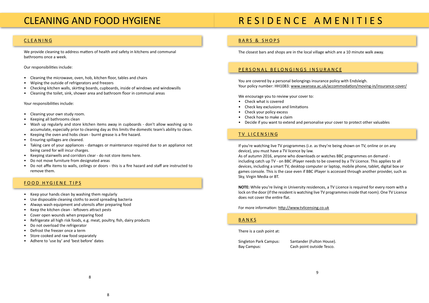### <span id="page-4-0"></span>CLEANING AND FOOD HYGIENE

#### CLEANING

We provide cleaning to address matters of health and safety in kitchens and communal bathrooms once a week.

Our responsibilities include:

- Cleaning the microwave, oven, hob, kitchen floor, tables and chairs
- Wiping the outside of refrigerators and freezers
- Checking kitchen walls, skirting boards, cupboards, inside of windows and windowsills
- Cleaning the toilet, sink, shower area and bathroom floor in communal areas

Your responsibilities include:

- Cleaning your own study room.
- Keeping all bathrooms clean
- Wash up regularly and store kitchen items away in cupboards don't allow washing up to accumulate, especially prior to cleaning day as this limits the domestic team's ability to clean.
- Keeping the oven and hobs clean burnt grease is a fire hazard.
- Ensuring spillages are cleaned.
- Taking care of your appliances damages or maintenance required due to an appliance not being cared for will incur charges.
- Keeping stairwells and corridors clear do not store items here.
- Do not move furniture from designated areas
- Do not affix items to walls, ceilings or doors this is a fire hazard and staff are instructed to remove them.

#### FOOD HYGIENE TIPS

- Keep your hands clean by washing them regularly
- Use disposable cleaning cloths to avoid spreading bacteria
- Always wash equipment and utensils after preparing food
- Keep the kitchen clean leftovers attract pests
- Cover open wounds when preparing food
- Refrigerate all high risk foods, e.g. meat, poultry, fish, dairy products
- Do not overload the refrigerator
- Defrost the freezer once a term
- Store cooked and raw food separately
- Adhere to 'use by' and 'best before' dates

## R E S I D E N C E A M E N I T I E S

### BARS & SHOPS

The closest bars and shops are in the local village which are a 10 minute walk away.

#### [PERSONAL BELONGINGS INSURANCE](http://www.swansea.ac.uk/accommodation/preparingforarrival/insurancecover/)

You are covered by a personal belongings insurance policy with Endsleigh. Your policy number: [HH1083](https://www.endsleigh.co.uk/Umbraco/Api/AccommodationProviderApi/CertificateOfInsurance?nodeId=5486): www.swansea.ac.uk/accommodation/moving-in/insurance-cover/

We encourage you to review your cover to:

- Check what is covered
- Check key exclusions and limitations
- Check your policy excess
- Check how to make a claim
- Decide if you want to extend and personalise your cover to protect other valuables

#### TV LICENSING

If you're watching live TV programmes (i.e. as they're being shown on TV, online or on any device), you must have a TV licence by law. As of autumn 2016, anyone who downloads or watches BBC programmes on demand including catch up TV - on BBC iPlayer needs to be covered by a TV Licence. This applies to all devices, including a smart TV, desktop computer or laptop, mobile phone, tablet, digital box or games console. This is the case even if BBC iPlayer is accessed through another provider, such as Sky, Virgin Media or BT.

**NOTE:** While you're living in University residences, a TV Licence is required for every room with a lock on the door (if the resident is watching live TV programmes inside that room). One TV Licence does not cover the entire flat.

For more information: http://www.tvlicensing.co.uk

#### BANKS

There is a cash point at:

Singleton Park Campus: Santander (Fulton House). Bay Campus: Cash point outside Tesco.

9 - Paul Barbara, política estadounidense de la provincia de la provincia de la provincia de la provincia de<br>1990 - Paul Barbara, política de la provincia de la provincia de la provincia de la provincia de la provincia<br>199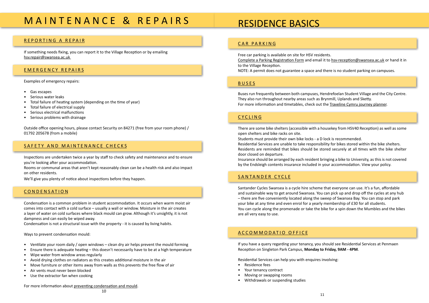## <span id="page-5-0"></span>M A I N T E N A N C E & R E P A I R S

#### REPORTING A REPAIR

If something needs fixing, you can report it to the Village Reception or by emailing hsv.repair@swansea.ac.uk

#### EMERGENCY REPAIRS

Examples of emergency repairs:

- Gas escapes
- Serious water leaks
- Total failure of heating system (depending on the time of year)
- Total failure of electrical supply
- Serious electrical malfunctions
- Serious problems with drainage

Outside office opening hours, please contact Security on 84271 (free from your room phone) / 01792 205678 (from a mobile)

#### SAFETY AND MAINTENANCE CHECKS

Inspections are undertaken twice a year by staff to check safety and maintenance and to ensure you're looking after your accommodation.

Rooms or communal areas that aren't kept reasonably clean can be a health risk and also impact on other residents.

We'll give you plenty of notice about inspections before they happen.

#### **CONDENSATION**

Condensation is a common problem in student accommodation. It occurs when warm moist air comes into contact with a cold surface – usually a wall or window. Moisture in the air creates a layer of water on cold surfaces where black mould can grow. Although it's unsightly, it is not dampness and can easily be wiped away.

Condensation is not a structural issue with the property - it is caused by living habits.

Ways to prevent condensation mould:

- Ventilate your room daily / open windows clean dry air helps prevent the mould forming
- Ensure there is adequate heating this doesn't necessarily have to be at a high temperature
- Wipe water from window areas regularly
- Avoid drying clothes on radiators as this creates additional moisture in the air
- Move furniture or other items away from walls as this prevents the free flow of air
- Air vents must never been blocked
- Use the extractor fan when cooking

For more information about [preventing condensation and mould](https://www.swansea.ac.uk/media/CondensationMouldLeaflet.pdf).

### RESIDENCE BASICS

#### CAR PARKING

Free car parking is available on site for HSV residents. [Complete a Parking Registration Form](https://www.swansea.ac.uk/accommodation/moving-in/resident-information/) and email it to hsv-reception@swansea.ac.uk or hand it in to the Village Reception.

NOTE: A permit does not guarantee a space and there is no student parking on campuses.

#### BUSES

Buses run frequently between both campuses, Hendrefoelan Student Village and the City Centre. They also run throughout nearby areas such as Brynmill, Uplands and Sketty. For more information and timetables, check out the [Traveline Cymru journey planner](http://myunijourney.traveline.cymru/swansea-university/).

#### CYCLING

There are some bike shelters (accessible with a housekey from HSV40 Reception) as well as some open shelters and bike racks on site.

Students must provide their own bike locks - a D lock is recommended. Residential Services are unable to take responsibility for bikes stored within the bike shelters. Residents are reminded that bikes should be stored securely at all times with the bike shelter door closed on departure.

Insurance should be arranged by each resident bringing a bike to University, as this is not covered by the Endsleigh contents insurance included in your accommodation. [View your policy.](http://www.swansea.ac.uk/accommodation/preparingforarrival/insurancecover/)

#### SANTANDER CYCLE

Santander Cycles Swansea is a cycle hire scheme that everyone can use. It's a fun, affordable and sustainable way to get around Swansea. You can pick up and drop off the cycles at any hub – there are five conveniently located along the sweep of Swansea Bay. You can stop and park your bike at any time and even enrol for a yearly membership of £30 for all students. You can cycle along the promenade or take the bike for a spin down the Mumbles and the bikes are all very easy to use.

#### ACCOMMODATIO OFFICE

If you have a query regarding your tenancy, you should see Residential Services at Penmaen Reception on Singleton Park Campus, **Monday to Friday, 9AM - 4PM**.

Residential Services can help you with enquires involving:

- Residence fees
- Your tenancy contract
- Moving or swapping rooms
- Withdrawals or suspending studies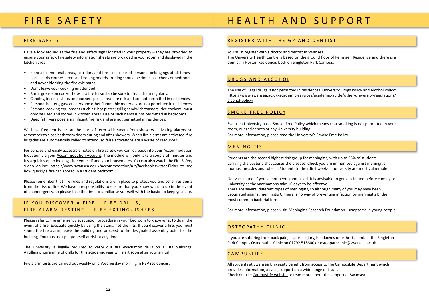### <span id="page-6-0"></span>FIRE SAFETY

#### FIRE SAFETY

Have a look around at the fire and safety signs located in your property – they are provided to ensure your safety. Fire safety information sheets are provided in your room and displayed in the kitchen area.

- Keep all communal areas, corridors and fire exits clear of personal belongings at all times particularly clothes airers and ironing boards. Ironing should be done in kitchens or bedrooms and never blocking the fire exit paths.
- Don't leave your cooking unattended.
- Burnt grease on cooker hobs is a fire hazard so be sure to clean them regularly.
- Candles, incense sticks and burners pose a real fire risk and are not permitted in residences.
- Personal heaters, gas canisters and other flammable materials are not permitted in residences.
- Personal cooking equipment (such as: hot plates; grills; sandwich toasters; rice cookers) must only be used and stored in kitchen areas. Use of such items is not permitted in bedrooms.
- Deep fat fryers pose a significant fire risk and are not permitted in residences.

### IF YOU DISCOVER A FIRE, FIRE DRILLS, FIRE ALARM TESTING, FIRE EXTINGUISHERS

We have frequent issues at the start of term with steam from showers activating alarms, so remember to close bathroom doors during and after showers. When fire alarms are activated, fire brigades are automatically called to attend, so false activations are a waste of resources.

For concise and easily accessible notes on fire safety, you can log back into your Accommodation Induction via your [Accommodation Account](https://universityservices.swan.ac.uk/contracts/). The module will only take a couple of minutes and it's a quick step to looking after yourself and your housemates. You can also watch the [Fire Safety](https://www.swansea.ac.uk/accommodation/accommodationvideos/) [Video](https://www.swansea.ac.uk/accommodation/accommodationvideos/) online: https://www.swansea.ac.uk/accommodation/a-z/facebook-twitter-flickr/ to see how quickly a fire can spread in a student bedroom.

Please remember that fire rules and regulations are in place to protect you and other residents from the risk of fire. We have a responsibility to ensure that you know what to do in the event of an emergency, so please take the time to familiarise yourself with the basics to keep you safe.

Please refer to the emergency evacuation procedure in your bedroom to know what to do in the event of a fire. Evacuate quickly by using the stairs; not the lifts. If you discover a fire, you must sound the fire alarm, leave the building and proceed to the designated assembly point for the building. You must not put yourself at risk at any time.

The University is legally required to carry out fire evacuation drills on all its buildings. A rolling programme of drills for this academic year will start soon after your arrival.

Fire alarm tests are carried out weekly on a Wednesday morning in HSV residences.

## HEALTH AND SUPPORT

- 
- 
- 
- 
- 
- 

### REGISTER WITH THE GP AND DENTIST

You must register with a doctor and dentist in Swansea. The University Health Centre is based on the ground floor of Penmaen Residence and there is a dentist in Horton Residence, both on Singleton Park Campus.

#### [DRUGS](http://www.swansea.ac.uk/media/Drugs%20Policy%20Final.pdf) AND [ALCOHOL](https://www.swansea.ac.uk/media/Student%20Alcohol%20Policy.pdf)

The use of illegal drugs is not permitted in residences. [University Drugs Policy](http://www.swansea.ac.uk/media/Drugs%20Policy%20Final.pdf) and [Alcohol Policy:](https://www.swansea.ac.uk/academic-services/academic-guide/other-university-regulations/alcohol-policy/) https://www.swansea.ac.uk/academic-services/academic-guide/other-university-regulations/ alcohol-policy/

#### [SMOKE FREE POLICY](https://www.swansea.ac.uk/media/Smoke-Freey-Policy-36119-en.doc)

Swansea University has a Smoke Free Policy which means that smoking is not permitted in your room, our residences or any University building. For more information, please read the [University's Smoke Free Policy](https://www.swansea.ac.uk/media/Smoke-Freey-Policy-36119-en.doc).

#### MENINGITIS

Students are the second highest risk group for meningitis, with up to 25% of students carrying the bacteria that causes the disease. Check you are immunised against meningitis, mumps, measles and rubella. Students in their first weeks at university are most vulnerable!

Get vaccinated. If you've not been immunised, it is advisable to get vaccinated before coming to university as the vaccinations take 10 days to be effective. There are several different types of meningitis, so although many of you may have been vaccinated against meningitis C, there is no way of preventing infection by meningitis B, the most common bacterial form.

For more information, please visit: [Meningitis Research Foundation - symptoms in young people](http://www.meningitis.org/symptoms/young-people)

#### [OSTEOPATHY CLINIC](http://www.swansea.ac.uk/hwa/health-and-wellbeing-services/osteopathicclinic/)

If you are suffering from back pain, a sports injury, headaches or arthritis, contact the Singleton Park Campus Osteopathic Clinic on 01792 518600 or osteopathclinic@swansea.ac.uk

#### **[CAMPUSLIFE](http://www.swansea.ac.uk/campuslife/)**

All students at Swansea University benefit from access to the CampusLife Department which provides information, advice, support on a wide range of issues. Check out the [CampusLife website](http://www.swansea.ac.uk/campuslife/) to read more about the support at Swansea.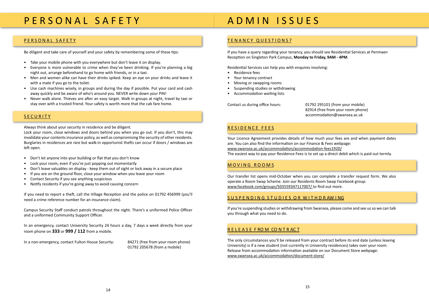### <span id="page-7-0"></span>P E R S O N A L S A F E T Y

#### PERSONAL SAFETY

Be diligent and take care of yourself and your safety by remembering some of these tips:

- Take your mobile phone with you everywhere but don't leave it on display.
- Everyone is more vulnerable to crime when they've been drinking. If you're planning a big night out, arrange beforehand to go home with friends, or in a taxi.
- Men and women alike can have their drinks spiked. Keep an eye on your drinks and leave it with a mate if you go to the toilet.
- Use cash machines wisely, in groups and during the day if possible. Put your card and cash away quickly and be aware of who's around you. NEVER write down your PIN!
- Never walk alone. Thieves are after an easy target. Walk in groups at night, travel by taxi or stay over with a trusted friend. Your safety is worth more that the cab fare home.

#### **SECURITY**

Always think about your security in residence and be diligent.

Lock your room, close windows and doors behind you when you go out. If you don't, this may invalidate your contents insurance policy, as well as compromising the security of other residents. Burglaries in residences are rare but walk-in opportunist thefts can occur if doors / windows are left open.

- Don't let anyone into your building or flat that you don't know
- Lock your room, even if you're just popping out momentarily
- Don't leave valuables on display keep them out of sight or lock away in a secure place
- If you are on the ground floor, close your window when you leave your room
- Contact Security if you see anything suspicious
- Notify residents if you're going away to avoid causing concern

If you need to report a theft, call the Village Reception and the police on 01792 456999 (you'll need a crime reference number for an insurance claim).

Campus Security Staff conduct patrols throughout the night. There's a uniformed Police Officer and a uniformed Community Support Officer.

In an emergency, contact University Security 24 hours a day, 7 days a week directly from your room phone on **333** or **999 / 112** from a mobile.

In a non-emergency, contact Fulton House Security: 84271 (free from your room phone)

01792 205678 (from a mobile)

### A D M I N I S S U E S

#### TENANCY QUESTIONS?

If you have a query regarding your tenancy, you should see Residential Services at Penmaen Reception on Singleton Park Campus, **Monday to Friday, 9AM - 4PM**.

Residential Services can help you with enquires involving:

- Residence fees
- Your tenancy contract
- Moving or swapping rooms
- Suspending studies or withdrawing
- Accommodation waiting lists

Contact us during office hours: 01792 295101 (from your mobile)

 82914 (free from your room phone) accommodation@swansea.ac.uk

#### [RESIDENCE FEES](http://www.swansea.ac.uk/accommodation/financefees/)

Your Licence Agreement provides details of how much your fees are and when payment dates are. You can also find the information on our Finance & Fee[s webpage](http://www.swansea.ac.uk/accommodation/financefees/): www.swansea.ac.uk/accommodation/accommodation-fees1920/ The easiest way to pay your Residence Fees is to set up a direct debit which is paid out termly.

#### MOVING ROOMS

Our transfer list opens mid-October when you can complete a transfer request form. We also operate a Room Swap Scheme. Join our [Residents Room Swap Facebook group](https://www.facebook.com/groups/roomswap/): www.facebook.com/groups/503559347117007/ to find out more.

#### SUSPENDING STUDIES OR WITHDRAWING

If you're suspending studies or withdrawing from Swansea, please come and see us so we can talk you through what you need to do.

#### R E L E A S E F RO M CO N T R AC T

The only circumstances you'll be released from your contract before its end date (unless leaving University) is if a new student (not currently in University residences) takes over your room. Release from accommodation information available on our Document Store webpage: www.swansea.ac.uk/accommodation/document-store/